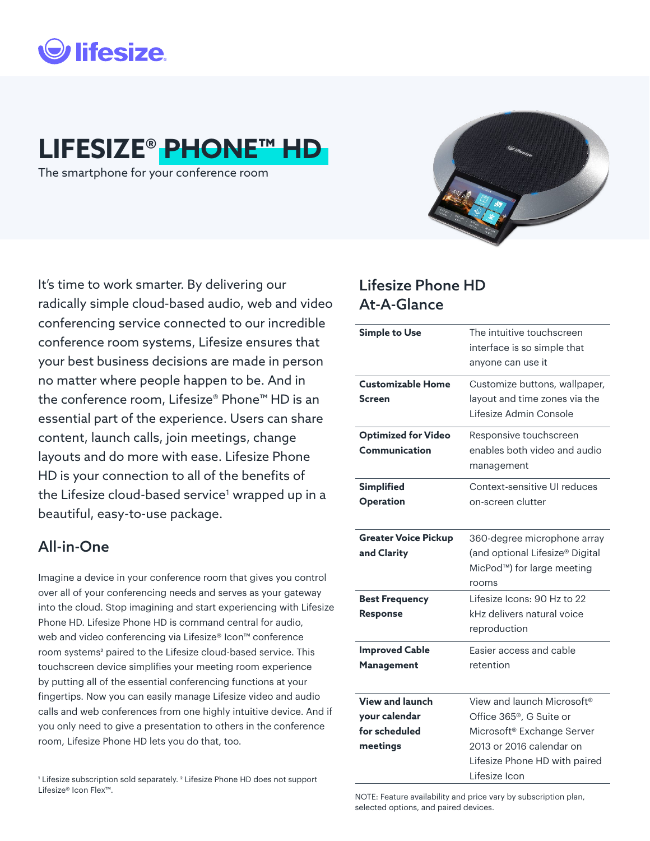

# **LIFESIZE® PHONE™ HD**

The smartphone for your conference room



It's time to work smarter. By delivering our radically simple cloud-based audio, web and video conferencing service connected to our incredible conference room systems, Lifesize ensures that your best business decisions are made in person no matter where people happen to be. And in the conference room, Lifesize® Phone™ HD is an essential part of the experience. Users can share content, launch calls, join meetings, change layouts and do more with ease. Lifesize Phone HD is your connection to all of the benefits of the Lifesize cloud-based service<sup>1</sup> wrapped up in a beautiful, easy-to-use package.

### All-in-One

Imagine a device in your conference room that gives you control over all of your conferencing needs and serves as your gateway into the cloud. Stop imagining and start experiencing with Lifesize Phone HD. Lifesize Phone HD is command central for audio, web and video conferencing via Lifesize® Icon™ conference room systems<sup>2</sup> paired to the Lifesize cloud-based service. This touchscreen device simplifies your meeting room experience by putting all of the essential conferencing functions at your fingertips. Now you can easily manage Lifesize video and audio calls and web conferences from one highly intuitive device. And if you only need to give a presentation to others in the conference room, Lifesize Phone HD lets you do that, too.

#### <sup>1</sup> Lifesize subscription sold separately. <sup>2</sup> Lifesize Phone HD does not support Lifesize® Icon Flex™.

### Lifesize Phone HD At-A-Glance

| <b>Simple to Use</b>                                                 | The intuitive touchscreen<br>interface is so simple that<br>anyone can use it                                                                                                                          |
|----------------------------------------------------------------------|--------------------------------------------------------------------------------------------------------------------------------------------------------------------------------------------------------|
| <b>Customizable Home</b><br>Screen                                   | Customize buttons, wallpaper,<br>lavout and time zones via the<br>Lifesize Admin Console                                                                                                               |
| <b>Optimized for Video</b><br>Communication                          | Responsive touchscreen<br>enables both video and audio<br>management                                                                                                                                   |
| <b>Simplified</b><br><b>Operation</b>                                | Context-sensitive UI reduces<br>on-screen clutter                                                                                                                                                      |
| <b>Greater Voice Pickup</b><br>and Clarity                           | 360-degree microphone array<br>(and optional Lifesize® Digital<br>MicPod <sup>™</sup> ) for large meeting<br>rooms                                                                                     |
| <b>Best Frequency</b><br><b>Response</b>                             | Lifesize Icons: 90 Hz to 22<br>kHz delivers natural voice<br>reproduction                                                                                                                              |
| <b>Improved Cable</b><br><b>Management</b>                           | Easier access and cable<br>retention                                                                                                                                                                   |
| <b>View and launch</b><br>your calendar<br>for scheduled<br>meetings | View and launch Microsoft <sup>®</sup><br>Office 365 <sup>®</sup> , G Suite or<br>Microsoft <sup>®</sup> Exchange Server<br>2013 or 2016 calendar on<br>Lifesize Phone HD with paired<br>Lifesize Icon |

NOTE: Feature availability and price vary by subscription plan, selected options, and paired devices.